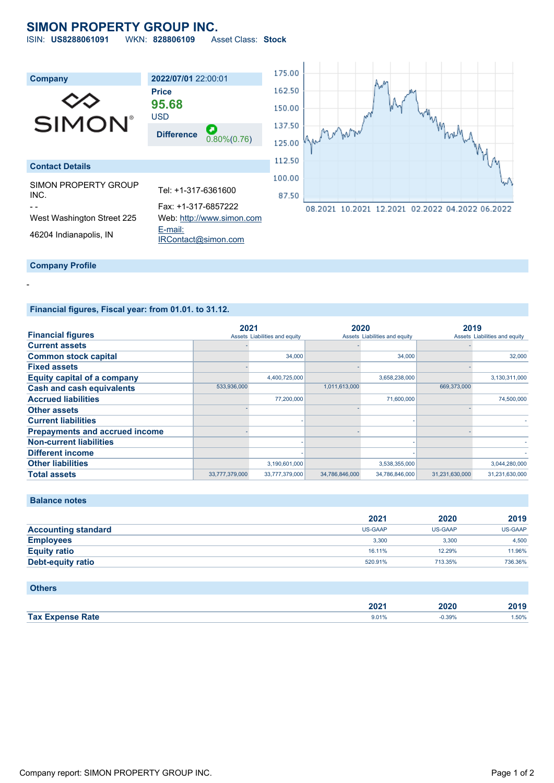# **SIMON PROPERTY GROUP INC.**<br>ISIN: US8288061091 WKN: 828806109 Asset Class: Stock

 $ISIN: **USS288061091**$ 

| <b>Company</b><br><b>SIMON®</b>                                                                    | 2022/07/01 22:00:01<br><b>Price</b><br>95.68<br><b>USD</b><br>О<br><b>Difference</b><br>$0.80\%(0.76)$    | 175.00<br>$\mathcal{N}^{\prime\prime}$<br>162.50<br>150.00<br>137.50<br>gannom<br>125.00 |
|----------------------------------------------------------------------------------------------------|-----------------------------------------------------------------------------------------------------------|------------------------------------------------------------------------------------------|
| <b>Contact Details</b>                                                                             |                                                                                                           | 112.50                                                                                   |
| <b>SIMON PROPERTY GROUP</b><br>INC.<br>- -<br>West Washington Street 225<br>46204 Indianapolis, IN | Tel: +1-317-6361600<br>Fax: +1-317-6857222<br>Web: http://www.simon.com<br>E-mail:<br>IRContact@simon.com | 100.00<br>87.50<br>08.2021 10.2021 12.2021 02.2022 04.2022 06.2022                       |
| <b>Company Profile</b>                                                                             |                                                                                                           |                                                                                          |

**Financial figures, Fiscal year: from 01.01. to 31.12.**

|                                       | 2021           |                               | 2020           |                               | 2019           |                               |
|---------------------------------------|----------------|-------------------------------|----------------|-------------------------------|----------------|-------------------------------|
| <b>Financial figures</b>              |                | Assets Liabilities and equity |                | Assets Liabilities and equity |                | Assets Liabilities and equity |
| <b>Current assets</b>                 |                |                               |                |                               |                |                               |
| <b>Common stock capital</b>           |                | 34,000                        |                | 34,000                        |                | 32,000                        |
| <b>Fixed assets</b>                   |                |                               |                |                               |                |                               |
| <b>Equity capital of a company</b>    |                | 4,400,725,000                 |                | 3,658,238,000                 |                | 3,130,311,000                 |
| <b>Cash and cash equivalents</b>      | 533,936,000    |                               | 1,011,613,000  |                               | 669,373,000    |                               |
| <b>Accrued liabilities</b>            |                | 77,200,000                    |                | 71,600,000                    |                | 74,500,000                    |
| <b>Other assets</b>                   |                |                               |                |                               |                |                               |
| <b>Current liabilities</b>            |                |                               |                |                               |                |                               |
| <b>Prepayments and accrued income</b> |                |                               |                |                               |                |                               |
| <b>Non-current liabilities</b>        |                |                               |                |                               |                |                               |
| <b>Different income</b>               |                |                               |                |                               |                |                               |
| <b>Other liabilities</b>              |                | 3,190,601,000                 |                | 3,538,355,000                 |                | 3,044,280,000                 |
| <b>Total assets</b>                   | 33,777,379,000 | 33.777.379.000                | 34.786.846.000 | 34,786,846,000                | 31.231.630.000 | 31.231.630.000                |

**Balance notes**

-

| 2021    | 2020    | 2019    |
|---------|---------|---------|
| US-GAAP | US-GAAP | US-GAAP |
| 3,300   | 3.300   | 4,500   |
| 16.11%  | 12.29%  | 11.96%  |
| 520.91% | 713.35% | 736.36% |
|         |         |         |

# **Others**

|              | ההה<br>ZUZ |       | .    |
|--------------|------------|-------|------|
| <b>Tax E</b> | 9.01%      | J.39% | .50% |
|              | .          | .     | .    |